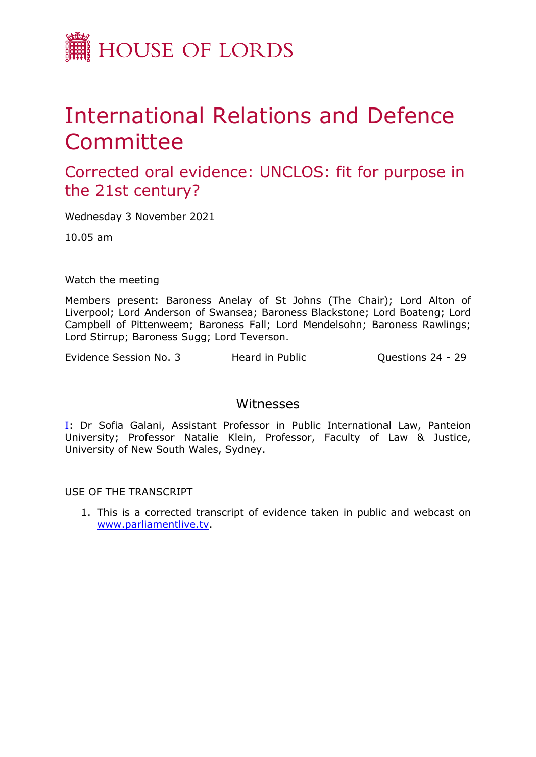

## International Relations and Defence **Committee**

Corrected oral evidence: UNCLOS: fit for purpose in the 21st century?

Wednesday 3 November 2021

10.05 am

Watch the meeting

Members present: Baroness Anelay of St Johns (The Chair); Lord Alton of Liverpool; Lord Anderson of Swansea; Baroness Blackstone; Lord Boateng; Lord Campbell of Pittenweem; Baroness Fall; Lord Mendelsohn; Baroness Rawlings; Lord Stirrup; Baroness Sugg; Lord Teverson.

Evidence Session No. 3 The Heard in Public Theorem Constitutions 24 - 29

## Witnesses

[I:](#page-1-0) Dr Sofia Galani, Assistant Professor in Public International Law, Panteion University; Professor Natalie Klein, Professor, Faculty of Law & Justice, University of New South Wales, Sydney.

USE OF THE TRANSCRIPT

1. This is a corrected transcript of evidence taken in public and webcast on [www.parliamentlive.tv](http://www.parliamentlive.tv/).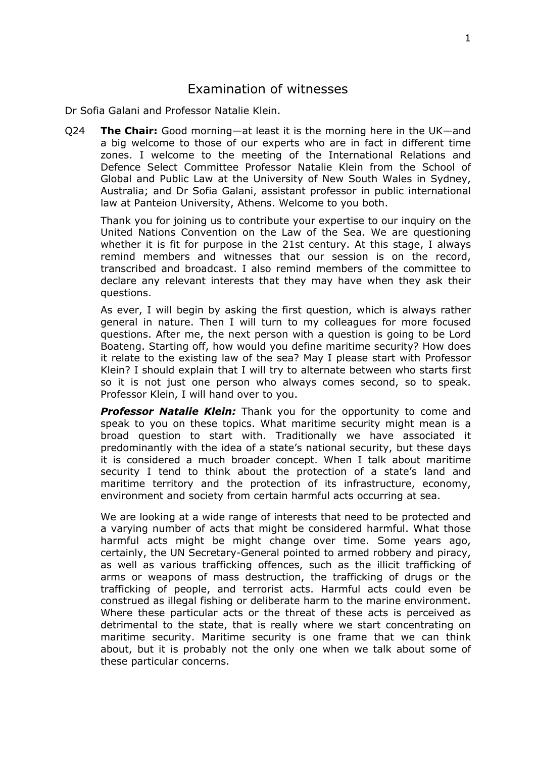## <span id="page-1-0"></span>Examination of witnesses

Dr Sofia Galani and Professor Natalie Klein.

Q24 **The Chair:** Good morning—at least it is the morning here in the UK—and a big welcome to those of our experts who are in fact in different time zones. I welcome to the meeting of the International Relations and Defence Select Committee Professor Natalie Klein from the School of Global and Public Law at the University of New South Wales in Sydney, Australia; and Dr Sofia Galani, assistant professor in public international law at Panteion University, Athens. Welcome to you both.

Thank you for joining us to contribute your expertise to our inquiry on the United Nations Convention on the Law of the Sea. We are questioning whether it is fit for purpose in the 21st century. At this stage, I always remind members and witnesses that our session is on the record, transcribed and broadcast. I also remind members of the committee to declare any relevant interests that they may have when they ask their questions.

As ever, I will begin by asking the first question, which is always rather general in nature. Then I will turn to my colleagues for more focused questions. After me, the next person with a question is going to be Lord Boateng. Starting off, how would you define maritime security? How does it relate to the existing law of the sea? May I please start with Professor Klein? I should explain that I will try to alternate between who starts first so it is not just one person who always comes second, so to speak. Professor Klein, I will hand over to you.

**Professor Natalie Klein:** Thank you for the opportunity to come and speak to you on these topics. What maritime security might mean is a broad question to start with. Traditionally we have associated it predominantly with the idea of a state's national security, but these days it is considered a much broader concept. When I talk about maritime security I tend to think about the protection of a state's land and maritime territory and the protection of its infrastructure, economy, environment and society from certain harmful acts occurring at sea.

We are looking at a wide range of interests that need to be protected and a varying number of acts that might be considered harmful. What those harmful acts might be might change over time. Some years ago, certainly, the UN Secretary-General pointed to armed robbery and piracy, as well as various trafficking offences, such as the illicit trafficking of arms or weapons of mass destruction, the trafficking of drugs or the trafficking of people, and terrorist acts. Harmful acts could even be construed as illegal fishing or deliberate harm to the marine environment. Where these particular acts or the threat of these acts is perceived as detrimental to the state, that is really where we start concentrating on maritime security. Maritime security is one frame that we can think about, but it is probably not the only one when we talk about some of these particular concerns.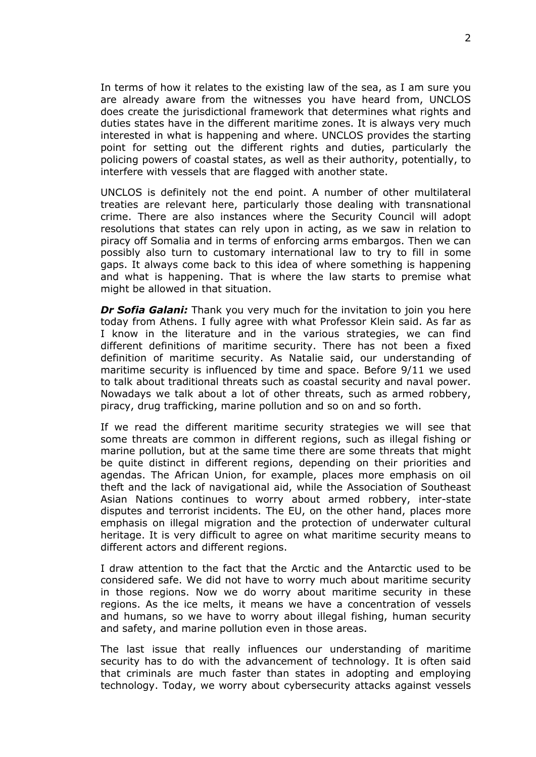In terms of how it relates to the existing law of the sea, as I am sure you are already aware from the witnesses you have heard from, UNCLOS does create the jurisdictional framework that determines what rights and duties states have in the different maritime zones. It is always very much interested in what is happening and where. UNCLOS provides the starting point for setting out the different rights and duties, particularly the policing powers of coastal states, as well as their authority, potentially, to interfere with vessels that are flagged with another state.

UNCLOS is definitely not the end point. A number of other multilateral treaties are relevant here, particularly those dealing with transnational crime. There are also instances where the Security Council will adopt resolutions that states can rely upon in acting, as we saw in relation to piracy off Somalia and in terms of enforcing arms embargos. Then we can possibly also turn to customary international law to try to fill in some gaps. It always come back to this idea of where something is happening and what is happening. That is where the law starts to premise what might be allowed in that situation.

*Dr Sofia Galani:* Thank you very much for the invitation to join you here today from Athens. I fully agree with what Professor Klein said. As far as I know in the literature and in the various strategies, we can find different definitions of maritime security. There has not been a fixed definition of maritime security. As Natalie said, our understanding of maritime security is influenced by time and space. Before 9/11 we used to talk about traditional threats such as coastal security and naval power. Nowadays we talk about a lot of other threats, such as armed robbery, piracy, drug trafficking, marine pollution and so on and so forth.

If we read the different maritime security strategies we will see that some threats are common in different regions, such as illegal fishing or marine pollution, but at the same time there are some threats that might be quite distinct in different regions, depending on their priorities and agendas. The African Union, for example, places more emphasis on oil theft and the lack of navigational aid, while the Association of Southeast Asian Nations continues to worry about armed robbery, inter-state disputes and terrorist incidents. The EU, on the other hand, places more emphasis on illegal migration and the protection of underwater cultural heritage. It is very difficult to agree on what maritime security means to different actors and different regions.

I draw attention to the fact that the Arctic and the Antarctic used to be considered safe. We did not have to worry much about maritime security in those regions. Now we do worry about maritime security in these regions. As the ice melts, it means we have a concentration of vessels and humans, so we have to worry about illegal fishing, human security and safety, and marine pollution even in those areas.

The last issue that really influences our understanding of maritime security has to do with the advancement of technology. It is often said that criminals are much faster than states in adopting and employing technology. Today, we worry about cybersecurity attacks against vessels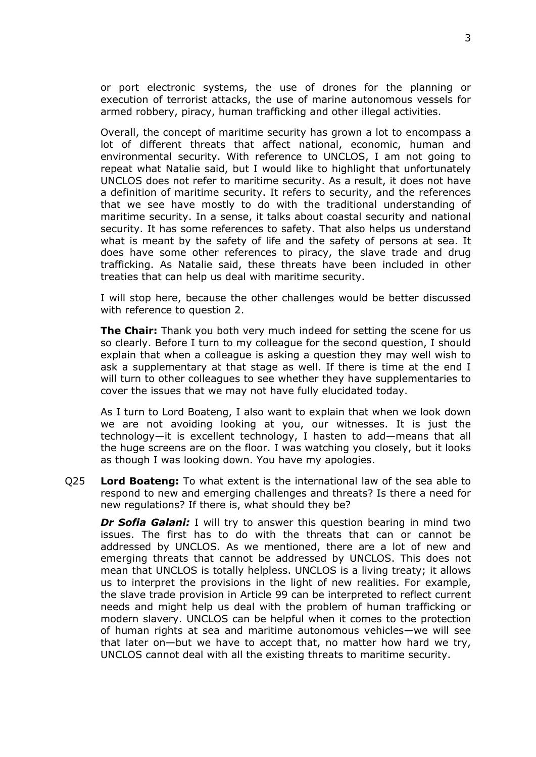or port electronic systems, the use of drones for the planning or execution of terrorist attacks, the use of marine autonomous vessels for armed robbery, piracy, human trafficking and other illegal activities.

Overall, the concept of maritime security has grown a lot to encompass a lot of different threats that affect national, economic, human and environmental security. With reference to UNCLOS, I am not going to repeat what Natalie said, but I would like to highlight that unfortunately UNCLOS does not refer to maritime security. As a result, it does not have a definition of maritime security. It refers to security, and the references that we see have mostly to do with the traditional understanding of maritime security. In a sense, it talks about coastal security and national security. It has some references to safety. That also helps us understand what is meant by the safety of life and the safety of persons at sea. It does have some other references to piracy, the slave trade and drug trafficking. As Natalie said, these threats have been included in other treaties that can help us deal with maritime security.

I will stop here, because the other challenges would be better discussed with reference to question 2.

**The Chair:** Thank you both very much indeed for setting the scene for us so clearly. Before I turn to my colleague for the second question, I should explain that when a colleague is asking a question they may well wish to ask a supplementary at that stage as well. If there is time at the end I will turn to other colleagues to see whether they have supplementaries to cover the issues that we may not have fully elucidated today.

As I turn to Lord Boateng, I also want to explain that when we look down we are not avoiding looking at you, our witnesses. It is just the technology—it is excellent technology, I hasten to add—means that all the huge screens are on the floor. I was watching you closely, but it looks as though I was looking down. You have my apologies.

Q25 **Lord Boateng:** To what extent is the international law of the sea able to respond to new and emerging challenges and threats? Is there a need for new regulations? If there is, what should they be?

*Dr Sofia Galani:* I will try to answer this question bearing in mind two issues. The first has to do with the threats that can or cannot be addressed by UNCLOS. As we mentioned, there are a lot of new and emerging threats that cannot be addressed by UNCLOS. This does not mean that UNCLOS is totally helpless. UNCLOS is a living treaty; it allows us to interpret the provisions in the light of new realities. For example, the slave trade provision in Article 99 can be interpreted to reflect current needs and might help us deal with the problem of human trafficking or modern slavery. UNCLOS can be helpful when it comes to the protection of human rights at sea and maritime autonomous vehicles—we will see that later on—but we have to accept that, no matter how hard we try, UNCLOS cannot deal with all the existing threats to maritime security.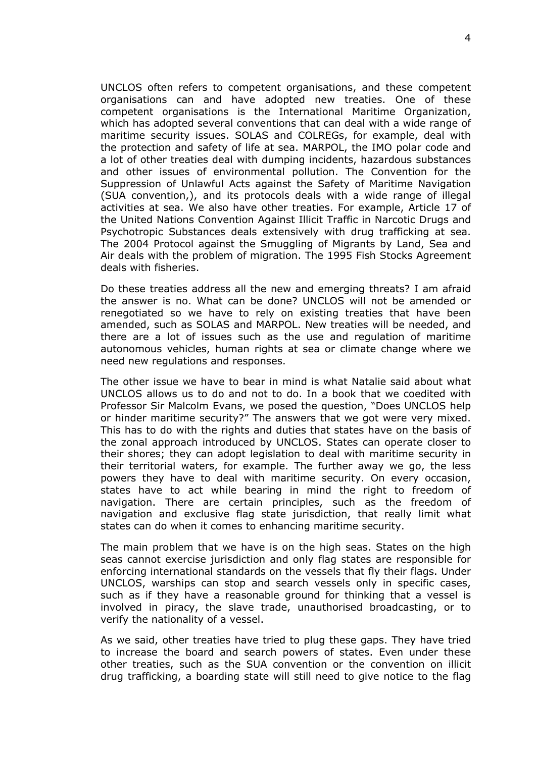UNCLOS often refers to competent organisations, and these competent organisations can and have adopted new treaties. One of these competent organisations is the International Maritime Organization, which has adopted several conventions that can deal with a wide range of maritime security issues. SOLAS and COLREGs, for example, deal with the protection and safety of life at sea. MARPOL, the IMO polar code and a lot of other treaties deal with dumping incidents, hazardous substances and other issues of environmental pollution. The Convention for the Suppression of Unlawful Acts against the Safety of Maritime Navigation (SUA convention,), and its protocols deals with a wide range of illegal activities at sea. We also have other treaties. For example, Article 17 of the United Nations Convention Against Illicit Traffic in Narcotic Drugs and Psychotropic Substances deals extensively with drug trafficking at sea. The 2004 Protocol against the Smuggling of Migrants by Land, Sea and Air deals with the problem of migration. The 1995 Fish Stocks Agreement deals with fisheries.

Do these treaties address all the new and emerging threats? I am afraid the answer is no. What can be done? UNCLOS will not be amended or renegotiated so we have to rely on existing treaties that have been amended, such as SOLAS and MARPOL. New treaties will be needed, and there are a lot of issues such as the use and regulation of maritime autonomous vehicles, human rights at sea or climate change where we need new regulations and responses.

The other issue we have to bear in mind is what Natalie said about what UNCLOS allows us to do and not to do. In a book that we coedited with Professor Sir Malcolm Evans, we posed the question, "Does UNCLOS help or hinder maritime security?" The answers that we got were very mixed. This has to do with the rights and duties that states have on the basis of the zonal approach introduced by UNCLOS. States can operate closer to their shores; they can adopt legislation to deal with maritime security in their territorial waters, for example. The further away we go, the less powers they have to deal with maritime security. On every occasion, states have to act while bearing in mind the right to freedom of navigation. There are certain principles, such as the freedom of navigation and exclusive flag state jurisdiction, that really limit what states can do when it comes to enhancing maritime security.

The main problem that we have is on the high seas. States on the high seas cannot exercise jurisdiction and only flag states are responsible for enforcing international standards on the vessels that fly their flags. Under UNCLOS, warships can stop and search vessels only in specific cases, such as if they have a reasonable ground for thinking that a vessel is involved in piracy, the slave trade, unauthorised broadcasting, or to verify the nationality of a vessel.

As we said, other treaties have tried to plug these gaps. They have tried to increase the board and search powers of states. Even under these other treaties, such as the SUA convention or the convention on illicit drug trafficking, a boarding state will still need to give notice to the flag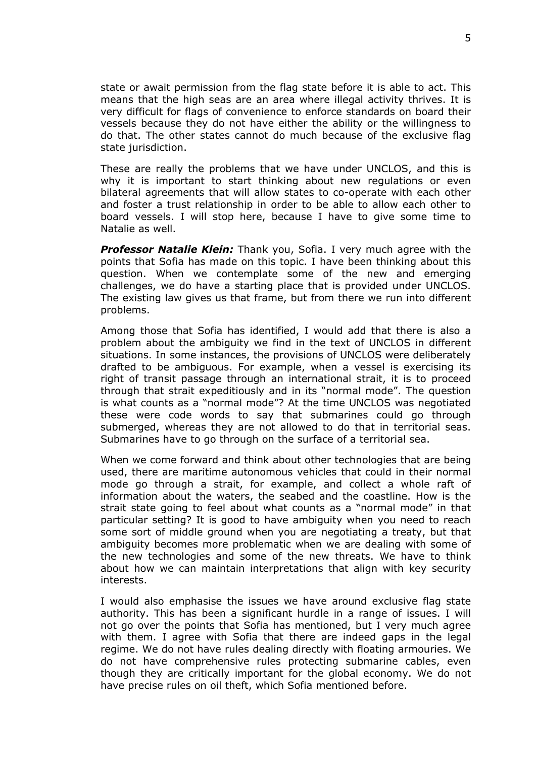state or await permission from the flag state before it is able to act. This means that the high seas are an area where illegal activity thrives. It is very difficult for flags of convenience to enforce standards on board their vessels because they do not have either the ability or the willingness to do that. The other states cannot do much because of the exclusive flag state jurisdiction.

These are really the problems that we have under UNCLOS, and this is why it is important to start thinking about new regulations or even bilateral agreements that will allow states to co-operate with each other and foster a trust relationship in order to be able to allow each other to board vessels. I will stop here, because I have to give some time to Natalie as well.

*Professor Natalie Klein:* Thank you, Sofia. I very much agree with the points that Sofia has made on this topic. I have been thinking about this question. When we contemplate some of the new and emerging challenges, we do have a starting place that is provided under UNCLOS. The existing law gives us that frame, but from there we run into different problems.

Among those that Sofia has identified, I would add that there is also a problem about the ambiguity we find in the text of UNCLOS in different situations. In some instances, the provisions of UNCLOS were deliberately drafted to be ambiguous. For example, when a vessel is exercising its right of transit passage through an international strait, it is to proceed through that strait expeditiously and in its "normal mode". The question is what counts as a "normal mode"? At the time UNCLOS was negotiated these were code words to say that submarines could go through submerged, whereas they are not allowed to do that in territorial seas. Submarines have to go through on the surface of a territorial sea.

When we come forward and think about other technologies that are being used, there are maritime autonomous vehicles that could in their normal mode go through a strait, for example, and collect a whole raft of information about the waters, the seabed and the coastline. How is the strait state going to feel about what counts as a "normal mode" in that particular setting? It is good to have ambiguity when you need to reach some sort of middle ground when you are negotiating a treaty, but that ambiguity becomes more problematic when we are dealing with some of the new technologies and some of the new threats. We have to think about how we can maintain interpretations that align with key security interests.

I would also emphasise the issues we have around exclusive flag state authority. This has been a significant hurdle in a range of issues. I will not go over the points that Sofia has mentioned, but I very much agree with them. I agree with Sofia that there are indeed gaps in the legal regime. We do not have rules dealing directly with floating armouries. We do not have comprehensive rules protecting submarine cables, even though they are critically important for the global economy. We do not have precise rules on oil theft, which Sofia mentioned before.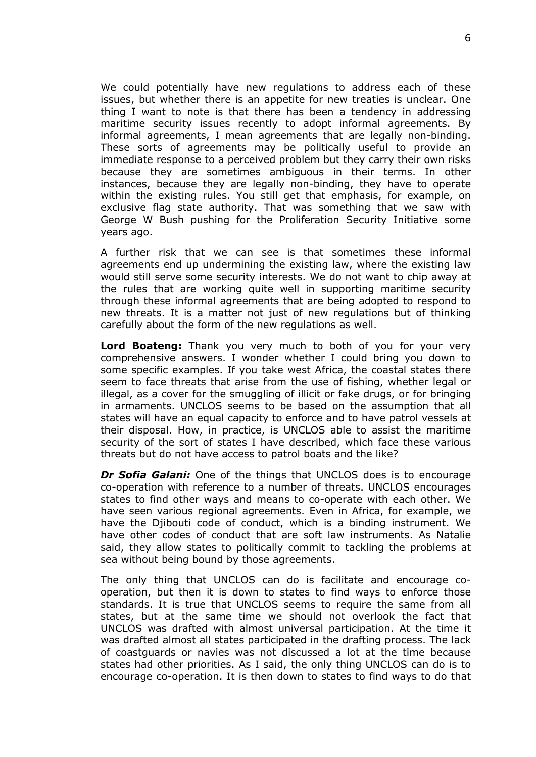We could potentially have new regulations to address each of these issues, but whether there is an appetite for new treaties is unclear. One thing I want to note is that there has been a tendency in addressing maritime security issues recently to adopt informal agreements. By informal agreements, I mean agreements that are legally non-binding. These sorts of agreements may be politically useful to provide an immediate response to a perceived problem but they carry their own risks because they are sometimes ambiguous in their terms. In other instances, because they are legally non-binding, they have to operate within the existing rules. You still get that emphasis, for example, on exclusive flag state authority. That was something that we saw with George W Bush pushing for the Proliferation Security Initiative some years ago.

A further risk that we can see is that sometimes these informal agreements end up undermining the existing law, where the existing law would still serve some security interests. We do not want to chip away at the rules that are working quite well in supporting maritime security through these informal agreements that are being adopted to respond to new threats. It is a matter not just of new regulations but of thinking carefully about the form of the new regulations as well.

**Lord Boateng:** Thank you very much to both of you for your very comprehensive answers. I wonder whether I could bring you down to some specific examples. If you take west Africa, the coastal states there seem to face threats that arise from the use of fishing, whether legal or illegal, as a cover for the smuggling of illicit or fake drugs, or for bringing in armaments. UNCLOS seems to be based on the assumption that all states will have an equal capacity to enforce and to have patrol vessels at their disposal. How, in practice, is UNCLOS able to assist the maritime security of the sort of states I have described, which face these various threats but do not have access to patrol boats and the like?

*Dr Sofia Galani:* One of the things that UNCLOS does is to encourage co-operation with reference to a number of threats. UNCLOS encourages states to find other ways and means to co-operate with each other. We have seen various regional agreements. Even in Africa, for example, we have the Djibouti code of conduct, which is a binding instrument. We have other codes of conduct that are soft law instruments. As Natalie said, they allow states to politically commit to tackling the problems at sea without being bound by those agreements.

The only thing that UNCLOS can do is facilitate and encourage cooperation, but then it is down to states to find ways to enforce those standards. It is true that UNCLOS seems to require the same from all states, but at the same time we should not overlook the fact that UNCLOS was drafted with almost universal participation. At the time it was drafted almost all states participated in the drafting process. The lack of coastguards or navies was not discussed a lot at the time because states had other priorities. As I said, the only thing UNCLOS can do is to encourage co-operation. It is then down to states to find ways to do that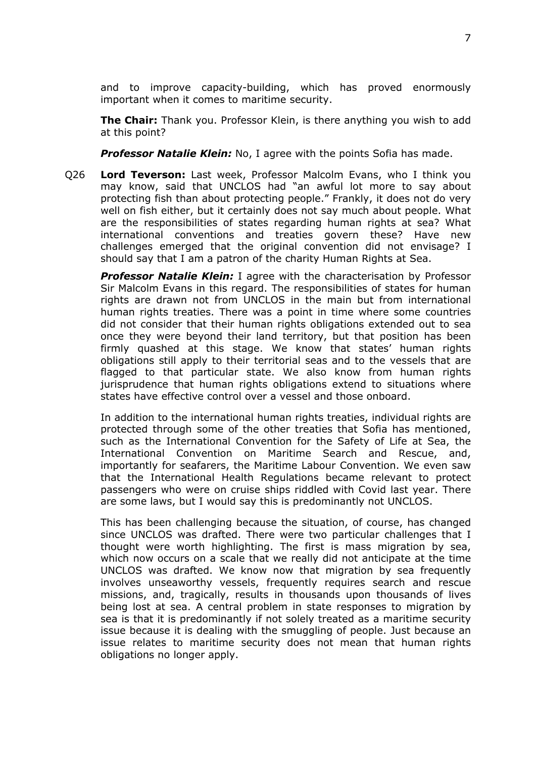and to improve capacity-building, which has proved enormously important when it comes to maritime security.

**The Chair:** Thank you. Professor Klein, is there anything you wish to add at this point?

*Professor Natalie Klein:* No, I agree with the points Sofia has made.

Q26 **Lord Teverson:** Last week, Professor Malcolm Evans, who I think you may know, said that UNCLOS had "an awful lot more to say about protecting fish than about protecting people." Frankly, it does not do very well on fish either, but it certainly does not say much about people. What are the responsibilities of states regarding human rights at sea? What international conventions and treaties govern these? Have new challenges emerged that the original convention did not envisage? I should say that I am a patron of the charity Human Rights at Sea.

*Professor Natalie Klein:* I agree with the characterisation by Professor Sir Malcolm Evans in this regard. The responsibilities of states for human rights are drawn not from UNCLOS in the main but from international human rights treaties. There was a point in time where some countries did not consider that their human rights obligations extended out to sea once they were beyond their land territory, but that position has been firmly quashed at this stage. We know that states' human rights obligations still apply to their territorial seas and to the vessels that are flagged to that particular state. We also know from human rights jurisprudence that human rights obligations extend to situations where states have effective control over a vessel and those onboard.

In addition to the international human rights treaties, individual rights are protected through some of the other treaties that Sofia has mentioned, such as the International Convention for the Safety of Life at Sea, the International Convention on Maritime Search and Rescue, and, importantly for seafarers, the Maritime Labour Convention. We even saw that the International Health Regulations became relevant to protect passengers who were on cruise ships riddled with Covid last year. There are some laws, but I would say this is predominantly not UNCLOS.

This has been challenging because the situation, of course, has changed since UNCLOS was drafted. There were two particular challenges that I thought were worth highlighting. The first is mass migration by sea, which now occurs on a scale that we really did not anticipate at the time UNCLOS was drafted. We know now that migration by sea frequently involves unseaworthy vessels, frequently requires search and rescue missions, and, tragically, results in thousands upon thousands of lives being lost at sea. A central problem in state responses to migration by sea is that it is predominantly if not solely treated as a maritime security issue because it is dealing with the smuggling of people. Just because an issue relates to maritime security does not mean that human rights obligations no longer apply.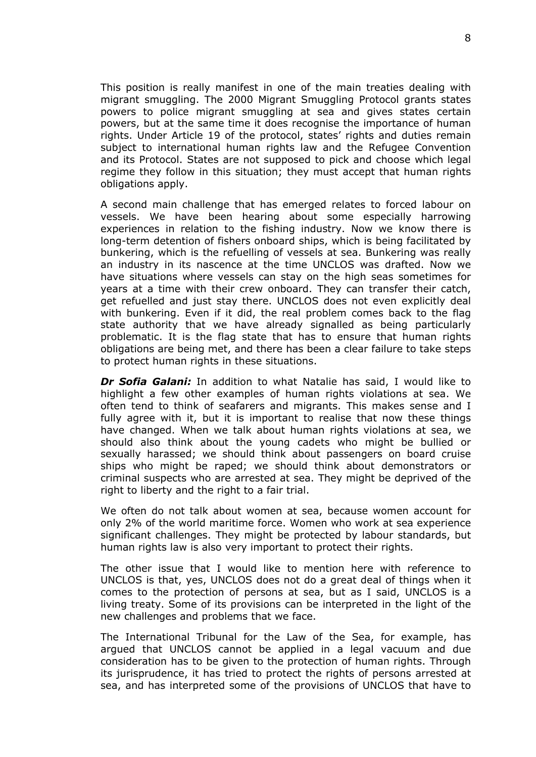This position is really manifest in one of the main treaties dealing with migrant smuggling. The 2000 Migrant Smuggling Protocol grants states powers to police migrant smuggling at sea and gives states certain powers, but at the same time it does recognise the importance of human rights. Under Article 19 of the protocol, states' rights and duties remain subject to international human rights law and the Refugee Convention and its Protocol. States are not supposed to pick and choose which legal regime they follow in this situation; they must accept that human rights obligations apply.

A second main challenge that has emerged relates to forced labour on vessels. We have been hearing about some especially harrowing experiences in relation to the fishing industry. Now we know there is long-term detention of fishers onboard ships, which is being facilitated by bunkering, which is the refuelling of vessels at sea. Bunkering was really an industry in its nascence at the time UNCLOS was drafted. Now we have situations where vessels can stay on the high seas sometimes for years at a time with their crew onboard. They can transfer their catch, get refuelled and just stay there. UNCLOS does not even explicitly deal with bunkering. Even if it did, the real problem comes back to the flag state authority that we have already signalled as being particularly problematic. It is the flag state that has to ensure that human rights obligations are being met, and there has been a clear failure to take steps to protect human rights in these situations.

*Dr Sofia Galani:* In addition to what Natalie has said, I would like to highlight a few other examples of human rights violations at sea. We often tend to think of seafarers and migrants. This makes sense and I fully agree with it, but it is important to realise that now these things have changed. When we talk about human rights violations at sea, we should also think about the young cadets who might be bullied or sexually harassed; we should think about passengers on board cruise ships who might be raped; we should think about demonstrators or criminal suspects who are arrested at sea. They might be deprived of the right to liberty and the right to a fair trial.

We often do not talk about women at sea, because women account for only 2% of the world maritime force. Women who work at sea experience significant challenges. They might be protected by labour standards, but human rights law is also very important to protect their rights.

The other issue that I would like to mention here with reference to UNCLOS is that, yes, UNCLOS does not do a great deal of things when it comes to the protection of persons at sea, but as I said, UNCLOS is a living treaty. Some of its provisions can be interpreted in the light of the new challenges and problems that we face.

The International Tribunal for the Law of the Sea, for example, has argued that UNCLOS cannot be applied in a legal vacuum and due consideration has to be given to the protection of human rights. Through its jurisprudence, it has tried to protect the rights of persons arrested at sea, and has interpreted some of the provisions of UNCLOS that have to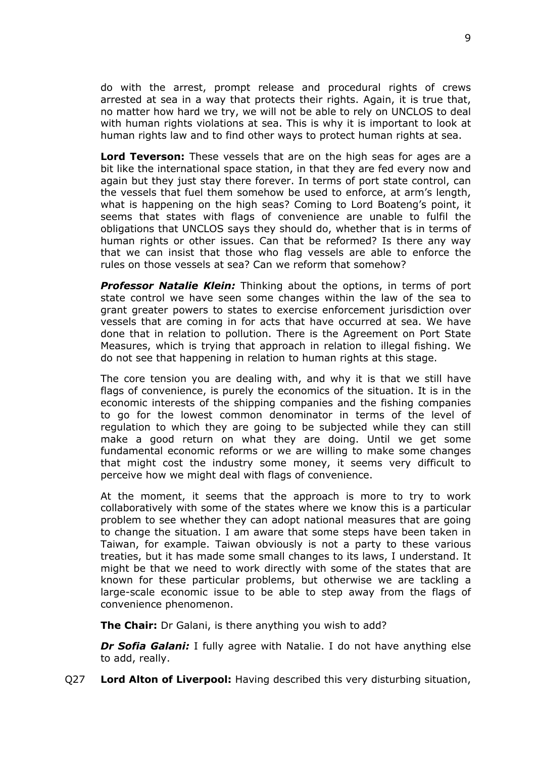do with the arrest, prompt release and procedural rights of crews arrested at sea in a way that protects their rights. Again, it is true that, no matter how hard we try, we will not be able to rely on UNCLOS to deal with human rights violations at sea. This is why it is important to look at human rights law and to find other ways to protect human rights at sea.

**Lord Teverson:** These vessels that are on the high seas for ages are a bit like the international space station, in that they are fed every now and again but they just stay there forever. In terms of port state control, can the vessels that fuel them somehow be used to enforce, at arm's length, what is happening on the high seas? Coming to Lord Boateng's point, it seems that states with flags of convenience are unable to fulfil the obligations that UNCLOS says they should do, whether that is in terms of human rights or other issues. Can that be reformed? Is there any way that we can insist that those who flag vessels are able to enforce the rules on those vessels at sea? Can we reform that somehow?

*Professor Natalie Klein:* Thinking about the options, in terms of port state control we have seen some changes within the law of the sea to grant greater powers to states to exercise enforcement jurisdiction over vessels that are coming in for acts that have occurred at sea. We have done that in relation to pollution. There is the Agreement on Port State Measures, which is trying that approach in relation to illegal fishing. We do not see that happening in relation to human rights at this stage.

The core tension you are dealing with, and why it is that we still have flags of convenience, is purely the economics of the situation. It is in the economic interests of the shipping companies and the fishing companies to go for the lowest common denominator in terms of the level of regulation to which they are going to be subjected while they can still make a good return on what they are doing. Until we get some fundamental economic reforms or we are willing to make some changes that might cost the industry some money, it seems very difficult to perceive how we might deal with flags of convenience.

At the moment, it seems that the approach is more to try to work collaboratively with some of the states where we know this is a particular problem to see whether they can adopt national measures that are going to change the situation. I am aware that some steps have been taken in Taiwan, for example. Taiwan obviously is not a party to these various treaties, but it has made some small changes to its laws, I understand. It might be that we need to work directly with some of the states that are known for these particular problems, but otherwise we are tackling a large-scale economic issue to be able to step away from the flags of convenience phenomenon.

**The Chair:** Dr Galani, is there anything you wish to add?

*Dr Sofia Galani:* I fully agree with Natalie. I do not have anything else to add, really.

Q27 **Lord Alton of Liverpool:** Having described this very disturbing situation,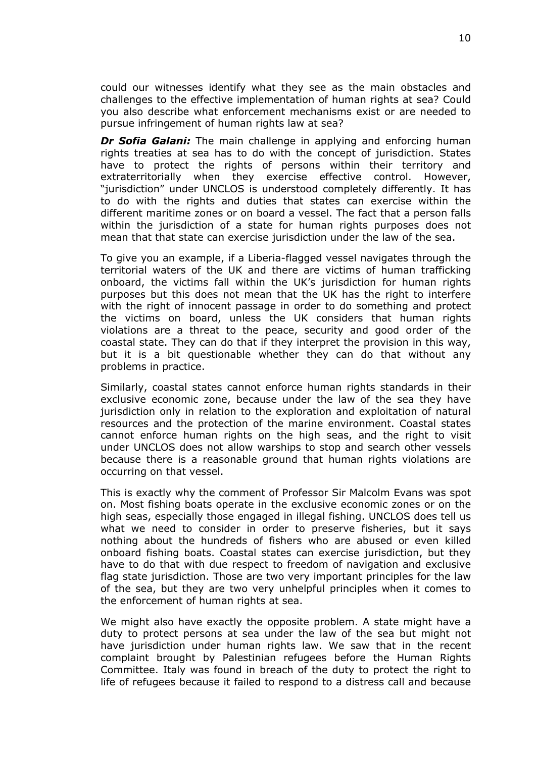could our witnesses identify what they see as the main obstacles and challenges to the effective implementation of human rights at sea? Could you also describe what enforcement mechanisms exist or are needed to pursue infringement of human rights law at sea?

*Dr Sofia Galani:* The main challenge in applying and enforcing human rights treaties at sea has to do with the concept of jurisdiction. States have to protect the rights of persons within their territory and extraterritorially when they exercise effective control. However, "jurisdiction" under UNCLOS is understood completely differently. It has to do with the rights and duties that states can exercise within the different maritime zones or on board a vessel. The fact that a person falls within the jurisdiction of a state for human rights purposes does not mean that that state can exercise jurisdiction under the law of the sea.

To give you an example, if a Liberia-flagged vessel navigates through the territorial waters of the UK and there are victims of human trafficking onboard, the victims fall within the UK's jurisdiction for human rights purposes but this does not mean that the UK has the right to interfere with the right of innocent passage in order to do something and protect the victims on board, unless the UK considers that human rights violations are a threat to the peace, security and good order of the coastal state. They can do that if they interpret the provision in this way, but it is a bit questionable whether they can do that without any problems in practice.

Similarly, coastal states cannot enforce human rights standards in their exclusive economic zone, because under the law of the sea they have jurisdiction only in relation to the exploration and exploitation of natural resources and the protection of the marine environment. Coastal states cannot enforce human rights on the high seas, and the right to visit under UNCLOS does not allow warships to stop and search other vessels because there is a reasonable ground that human rights violations are occurring on that vessel.

This is exactly why the comment of Professor Sir Malcolm Evans was spot on. Most fishing boats operate in the exclusive economic zones or on the high seas, especially those engaged in illegal fishing. UNCLOS does tell us what we need to consider in order to preserve fisheries, but it says nothing about the hundreds of fishers who are abused or even killed onboard fishing boats. Coastal states can exercise jurisdiction, but they have to do that with due respect to freedom of navigation and exclusive flag state jurisdiction. Those are two very important principles for the law of the sea, but they are two very unhelpful principles when it comes to the enforcement of human rights at sea.

We might also have exactly the opposite problem. A state might have a duty to protect persons at sea under the law of the sea but might not have jurisdiction under human rights law. We saw that in the recent complaint brought by Palestinian refugees before the Human Rights Committee. Italy was found in breach of the duty to protect the right to life of refugees because it failed to respond to a distress call and because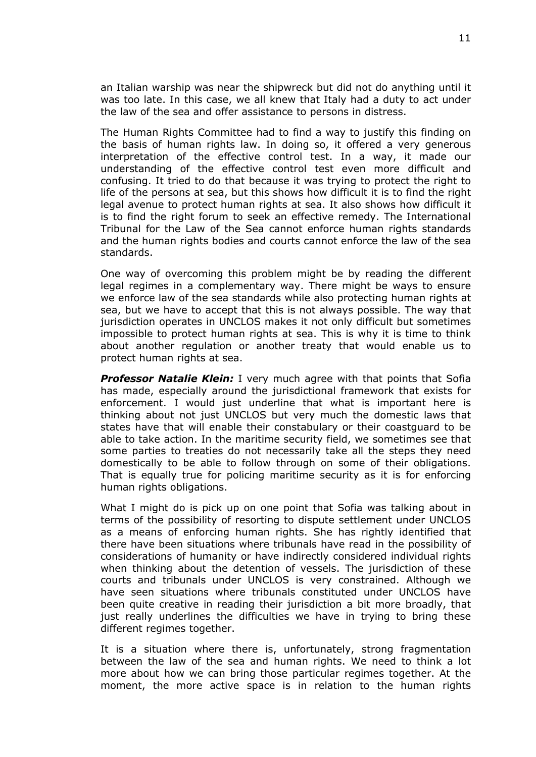an Italian warship was near the shipwreck but did not do anything until it was too late. In this case, we all knew that Italy had a duty to act under the law of the sea and offer assistance to persons in distress.

The Human Rights Committee had to find a way to justify this finding on the basis of human rights law. In doing so, it offered a very generous interpretation of the effective control test. In a way, it made our understanding of the effective control test even more difficult and confusing. It tried to do that because it was trying to protect the right to life of the persons at sea, but this shows how difficult it is to find the right legal avenue to protect human rights at sea. It also shows how difficult it is to find the right forum to seek an effective remedy. The International Tribunal for the Law of the Sea cannot enforce human rights standards and the human rights bodies and courts cannot enforce the law of the sea standards.

One way of overcoming this problem might be by reading the different legal regimes in a complementary way. There might be ways to ensure we enforce law of the sea standards while also protecting human rights at sea, but we have to accept that this is not always possible. The way that jurisdiction operates in UNCLOS makes it not only difficult but sometimes impossible to protect human rights at sea. This is why it is time to think about another regulation or another treaty that would enable us to protect human rights at sea.

**Professor Natalie Klein:** I very much agree with that points that Sofia has made, especially around the jurisdictional framework that exists for enforcement. I would just underline that what is important here is thinking about not just UNCLOS but very much the domestic laws that states have that will enable their constabulary or their coastguard to be able to take action. In the maritime security field, we sometimes see that some parties to treaties do not necessarily take all the steps they need domestically to be able to follow through on some of their obligations. That is equally true for policing maritime security as it is for enforcing human rights obligations.

What I might do is pick up on one point that Sofia was talking about in terms of the possibility of resorting to dispute settlement under UNCLOS as a means of enforcing human rights. She has rightly identified that there have been situations where tribunals have read in the possibility of considerations of humanity or have indirectly considered individual rights when thinking about the detention of vessels. The jurisdiction of these courts and tribunals under UNCLOS is very constrained. Although we have seen situations where tribunals constituted under UNCLOS have been quite creative in reading their jurisdiction a bit more broadly, that just really underlines the difficulties we have in trying to bring these different regimes together.

It is a situation where there is, unfortunately, strong fragmentation between the law of the sea and human rights. We need to think a lot more about how we can bring those particular regimes together. At the moment, the more active space is in relation to the human rights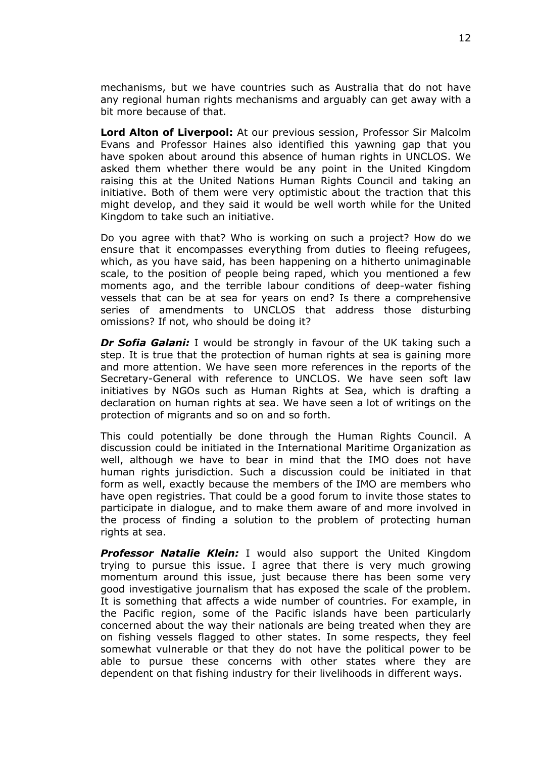mechanisms, but we have countries such as Australia that do not have any regional human rights mechanisms and arguably can get away with a bit more because of that.

**Lord Alton of Liverpool:** At our previous session, Professor Sir Malcolm Evans and Professor Haines also identified this yawning gap that you have spoken about around this absence of human rights in UNCLOS. We asked them whether there would be any point in the United Kingdom raising this at the United Nations Human Rights Council and taking an initiative. Both of them were very optimistic about the traction that this might develop, and they said it would be well worth while for the United Kingdom to take such an initiative.

Do you agree with that? Who is working on such a project? How do we ensure that it encompasses everything from duties to fleeing refugees, which, as you have said, has been happening on a hitherto unimaginable scale, to the position of people being raped, which you mentioned a few moments ago, and the terrible labour conditions of deep-water fishing vessels that can be at sea for years on end? Is there a comprehensive series of amendments to UNCLOS that address those disturbing omissions? If not, who should be doing it?

*Dr Sofia Galani:* I would be strongly in favour of the UK taking such a step. It is true that the protection of human rights at sea is gaining more and more attention. We have seen more references in the reports of the Secretary-General with reference to UNCLOS. We have seen soft law initiatives by NGOs such as Human Rights at Sea, which is drafting a declaration on human rights at sea. We have seen a lot of writings on the protection of migrants and so on and so forth.

This could potentially be done through the Human Rights Council. A discussion could be initiated in the International Maritime Organization as well, although we have to bear in mind that the IMO does not have human rights jurisdiction. Such a discussion could be initiated in that form as well, exactly because the members of the IMO are members who have open registries. That could be a good forum to invite those states to participate in dialogue, and to make them aware of and more involved in the process of finding a solution to the problem of protecting human rights at sea.

*Professor Natalie Klein:* I would also support the United Kingdom trying to pursue this issue. I agree that there is very much growing momentum around this issue, just because there has been some very good investigative journalism that has exposed the scale of the problem. It is something that affects a wide number of countries. For example, in the Pacific region, some of the Pacific islands have been particularly concerned about the way their nationals are being treated when they are on fishing vessels flagged to other states. In some respects, they feel somewhat vulnerable or that they do not have the political power to be able to pursue these concerns with other states where they are dependent on that fishing industry for their livelihoods in different ways.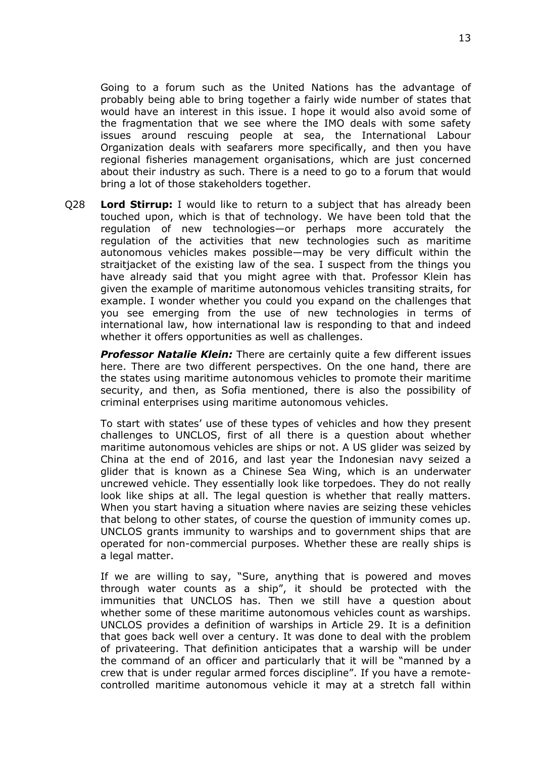Going to a forum such as the United Nations has the advantage of probably being able to bring together a fairly wide number of states that would have an interest in this issue. I hope it would also avoid some of the fragmentation that we see where the IMO deals with some safety issues around rescuing people at sea, the International Labour Organization deals with seafarers more specifically, and then you have regional fisheries management organisations, which are just concerned about their industry as such. There is a need to go to a forum that would bring a lot of those stakeholders together.

Q28 **Lord Stirrup:** I would like to return to a subject that has already been touched upon, which is that of technology. We have been told that the regulation of new technologies—or perhaps more accurately the regulation of the activities that new technologies such as maritime autonomous vehicles makes possible—may be very difficult within the straitjacket of the existing law of the sea. I suspect from the things you have already said that you might agree with that. Professor Klein has given the example of maritime autonomous vehicles transiting straits, for example. I wonder whether you could you expand on the challenges that you see emerging from the use of new technologies in terms of international law, how international law is responding to that and indeed whether it offers opportunities as well as challenges.

*Professor Natalie Klein:* There are certainly quite a few different issues here. There are two different perspectives. On the one hand, there are the states using maritime autonomous vehicles to promote their maritime security, and then, as Sofia mentioned, there is also the possibility of criminal enterprises using maritime autonomous vehicles.

To start with states' use of these types of vehicles and how they present challenges to UNCLOS, first of all there is a question about whether maritime autonomous vehicles are ships or not. A US glider was seized by China at the end of 2016, and last year the Indonesian navy seized a glider that is known as a Chinese Sea Wing, which is an underwater uncrewed vehicle. They essentially look like torpedoes. They do not really look like ships at all. The legal question is whether that really matters. When you start having a situation where navies are seizing these vehicles that belong to other states, of course the question of immunity comes up. UNCLOS grants immunity to warships and to government ships that are operated for non-commercial purposes. Whether these are really ships is a legal matter.

If we are willing to say, "Sure, anything that is powered and moves through water counts as a ship", it should be protected with the immunities that UNCLOS has. Then we still have a question about whether some of these maritime autonomous vehicles count as warships. UNCLOS provides a definition of warships in Article 29. It is a definition that goes back well over a century. It was done to deal with the problem of privateering. That definition anticipates that a warship will be under the command of an officer and particularly that it will be "manned by a crew that is under regular armed forces discipline". If you have a remotecontrolled maritime autonomous vehicle it may at a stretch fall within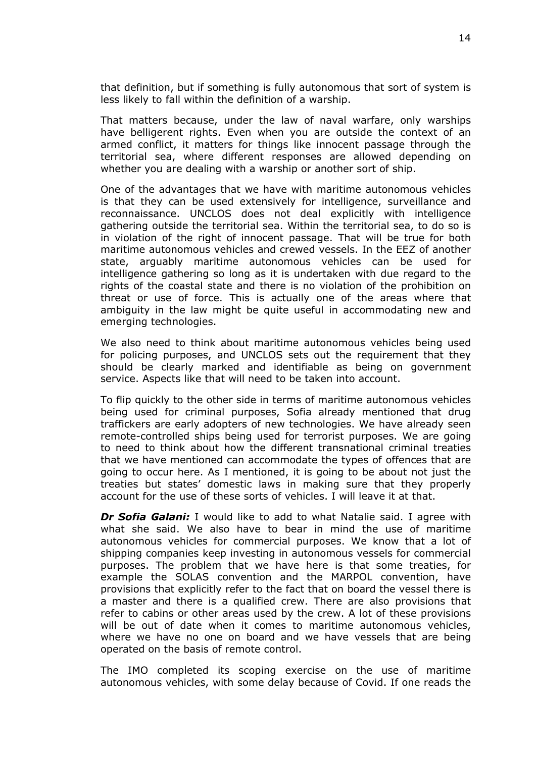that definition, but if something is fully autonomous that sort of system is less likely to fall within the definition of a warship.

That matters because, under the law of naval warfare, only warships have belligerent rights. Even when you are outside the context of an armed conflict, it matters for things like innocent passage through the territorial sea, where different responses are allowed depending on whether you are dealing with a warship or another sort of ship.

One of the advantages that we have with maritime autonomous vehicles is that they can be used extensively for intelligence, surveillance and reconnaissance. UNCLOS does not deal explicitly with intelligence gathering outside the territorial sea. Within the territorial sea, to do so is in violation of the right of innocent passage. That will be true for both maritime autonomous vehicles and crewed vessels. In the EEZ of another state, arguably maritime autonomous vehicles can be used for intelligence gathering so long as it is undertaken with due regard to the rights of the coastal state and there is no violation of the prohibition on threat or use of force. This is actually one of the areas where that ambiguity in the law might be quite useful in accommodating new and emerging technologies.

We also need to think about maritime autonomous vehicles being used for policing purposes, and UNCLOS sets out the requirement that they should be clearly marked and identifiable as being on government service. Aspects like that will need to be taken into account.

To flip quickly to the other side in terms of maritime autonomous vehicles being used for criminal purposes, Sofia already mentioned that drug traffickers are early adopters of new technologies. We have already seen remote-controlled ships being used for terrorist purposes. We are going to need to think about how the different transnational criminal treaties that we have mentioned can accommodate the types of offences that are going to occur here. As I mentioned, it is going to be about not just the treaties but states' domestic laws in making sure that they properly account for the use of these sorts of vehicles. I will leave it at that.

*Dr Sofia Galani:* I would like to add to what Natalie said. I agree with what she said. We also have to bear in mind the use of maritime autonomous vehicles for commercial purposes. We know that a lot of shipping companies keep investing in autonomous vessels for commercial purposes. The problem that we have here is that some treaties, for example the SOLAS convention and the MARPOL convention, have provisions that explicitly refer to the fact that on board the vessel there is a master and there is a qualified crew. There are also provisions that refer to cabins or other areas used by the crew. A lot of these provisions will be out of date when it comes to maritime autonomous vehicles, where we have no one on board and we have vessels that are being operated on the basis of remote control.

The IMO completed its scoping exercise on the use of maritime autonomous vehicles, with some delay because of Covid. If one reads the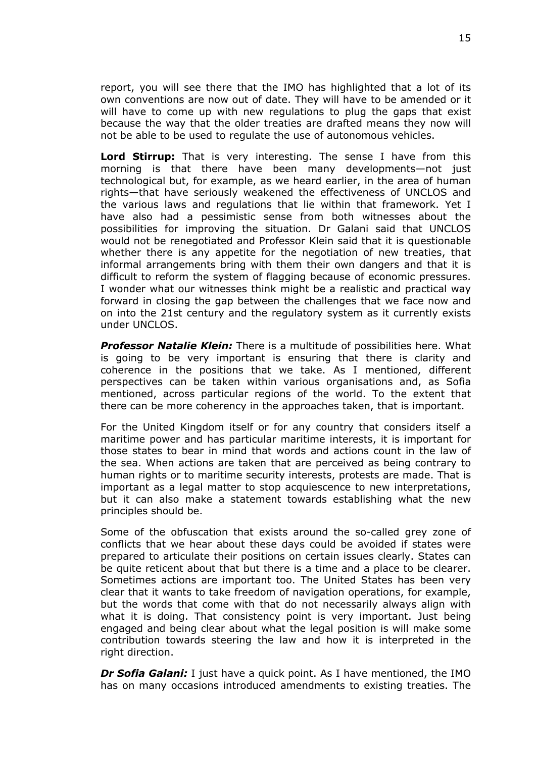report, you will see there that the IMO has highlighted that a lot of its own conventions are now out of date. They will have to be amended or it will have to come up with new regulations to plug the gaps that exist because the way that the older treaties are drafted means they now will not be able to be used to regulate the use of autonomous vehicles.

**Lord Stirrup:** That is very interesting. The sense I have from this morning is that there have been many developments—not just technological but, for example, as we heard earlier, in the area of human rights—that have seriously weakened the effectiveness of UNCLOS and the various laws and regulations that lie within that framework. Yet I have also had a pessimistic sense from both witnesses about the possibilities for improving the situation. Dr Galani said that UNCLOS would not be renegotiated and Professor Klein said that it is questionable whether there is any appetite for the negotiation of new treaties, that informal arrangements bring with them their own dangers and that it is difficult to reform the system of flagging because of economic pressures. I wonder what our witnesses think might be a realistic and practical way forward in closing the gap between the challenges that we face now and on into the 21st century and the regulatory system as it currently exists under UNCLOS.

*Professor Natalie Klein:* There is a multitude of possibilities here. What is going to be very important is ensuring that there is clarity and coherence in the positions that we take. As I mentioned, different perspectives can be taken within various organisations and, as Sofia mentioned, across particular regions of the world. To the extent that there can be more coherency in the approaches taken, that is important.

For the United Kingdom itself or for any country that considers itself a maritime power and has particular maritime interests, it is important for those states to bear in mind that words and actions count in the law of the sea. When actions are taken that are perceived as being contrary to human rights or to maritime security interests, protests are made. That is important as a legal matter to stop acquiescence to new interpretations, but it can also make a statement towards establishing what the new principles should be.

Some of the obfuscation that exists around the so-called grey zone of conflicts that we hear about these days could be avoided if states were prepared to articulate their positions on certain issues clearly. States can be quite reticent about that but there is a time and a place to be clearer. Sometimes actions are important too. The United States has been very clear that it wants to take freedom of navigation operations, for example, but the words that come with that do not necessarily always align with what it is doing. That consistency point is very important. Just being engaged and being clear about what the legal position is will make some contribution towards steering the law and how it is interpreted in the right direction.

*Dr Sofia Galani:* I just have a quick point. As I have mentioned, the IMO has on many occasions introduced amendments to existing treaties. The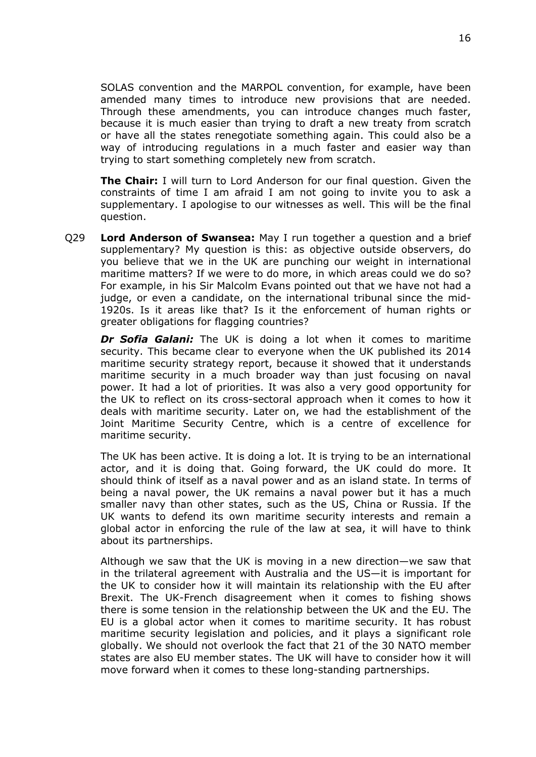SOLAS convention and the MARPOL convention, for example, have been amended many times to introduce new provisions that are needed. Through these amendments, you can introduce changes much faster, because it is much easier than trying to draft a new treaty from scratch or have all the states renegotiate something again. This could also be a way of introducing regulations in a much faster and easier way than trying to start something completely new from scratch.

**The Chair:** I will turn to Lord Anderson for our final question. Given the constraints of time I am afraid I am not going to invite you to ask a supplementary. I apologise to our witnesses as well. This will be the final question.

Q29 **Lord Anderson of Swansea:** May I run together a question and a brief supplementary? My question is this: as objective outside observers, do you believe that we in the UK are punching our weight in international maritime matters? If we were to do more, in which areas could we do so? For example, in his Sir Malcolm Evans pointed out that we have not had a judge, or even a candidate, on the international tribunal since the mid-1920s. Is it areas like that? Is it the enforcement of human rights or greater obligations for flagging countries?

*Dr Sofia Galani:* The UK is doing a lot when it comes to maritime security. This became clear to everyone when the UK published its 2014 maritime security strategy report, because it showed that it understands maritime security in a much broader way than just focusing on naval power. It had a lot of priorities. It was also a very good opportunity for the UK to reflect on its cross-sectoral approach when it comes to how it deals with maritime security. Later on, we had the establishment of the Joint Maritime Security Centre, which is a centre of excellence for maritime security.

The UK has been active. It is doing a lot. It is trying to be an international actor, and it is doing that. Going forward, the UK could do more. It should think of itself as a naval power and as an island state. In terms of being a naval power, the UK remains a naval power but it has a much smaller navy than other states, such as the US, China or Russia. If the UK wants to defend its own maritime security interests and remain a global actor in enforcing the rule of the law at sea, it will have to think about its partnerships.

Although we saw that the UK is moving in a new direction—we saw that in the trilateral agreement with Australia and the US—it is important for the UK to consider how it will maintain its relationship with the EU after Brexit. The UK-French disagreement when it comes to fishing shows there is some tension in the relationship between the UK and the EU. The EU is a global actor when it comes to maritime security. It has robust maritime security legislation and policies, and it plays a significant role globally. We should not overlook the fact that 21 of the 30 NATO member states are also EU member states. The UK will have to consider how it will move forward when it comes to these long-standing partnerships.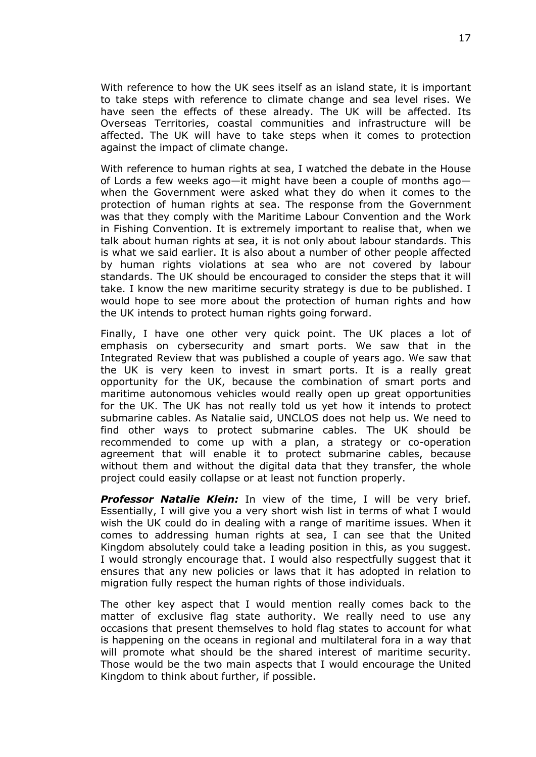With reference to how the UK sees itself as an island state, it is important to take steps with reference to climate change and sea level rises. We have seen the effects of these already. The UK will be affected. Its Overseas Territories, coastal communities and infrastructure will be affected. The UK will have to take steps when it comes to protection against the impact of climate change.

With reference to human rights at sea, I watched the debate in the House of Lords a few weeks ago—it might have been a couple of months ago when the Government were asked what they do when it comes to the protection of human rights at sea. The response from the Government was that they comply with the Maritime Labour Convention and the Work in Fishing Convention. It is extremely important to realise that, when we talk about human rights at sea, it is not only about labour standards. This is what we said earlier. It is also about a number of other people affected by human rights violations at sea who are not covered by labour standards. The UK should be encouraged to consider the steps that it will take. I know the new maritime security strategy is due to be published. I would hope to see more about the protection of human rights and how the UK intends to protect human rights going forward.

Finally, I have one other very quick point. The UK places a lot of emphasis on cybersecurity and smart ports. We saw that in the Integrated Review that was published a couple of years ago. We saw that the UK is very keen to invest in smart ports. It is a really great opportunity for the UK, because the combination of smart ports and maritime autonomous vehicles would really open up great opportunities for the UK. The UK has not really told us yet how it intends to protect submarine cables. As Natalie said, UNCLOS does not help us. We need to find other ways to protect submarine cables. The UK should be recommended to come up with a plan, a strategy or co-operation agreement that will enable it to protect submarine cables, because without them and without the digital data that they transfer, the whole project could easily collapse or at least not function properly.

*Professor Natalie Klein:* In view of the time, I will be very brief. Essentially, I will give you a very short wish list in terms of what I would wish the UK could do in dealing with a range of maritime issues. When it comes to addressing human rights at sea, I can see that the United Kingdom absolutely could take a leading position in this, as you suggest. I would strongly encourage that. I would also respectfully suggest that it ensures that any new policies or laws that it has adopted in relation to migration fully respect the human rights of those individuals.

The other key aspect that I would mention really comes back to the matter of exclusive flag state authority. We really need to use any occasions that present themselves to hold flag states to account for what is happening on the oceans in regional and multilateral fora in a way that will promote what should be the shared interest of maritime security. Those would be the two main aspects that I would encourage the United Kingdom to think about further, if possible.